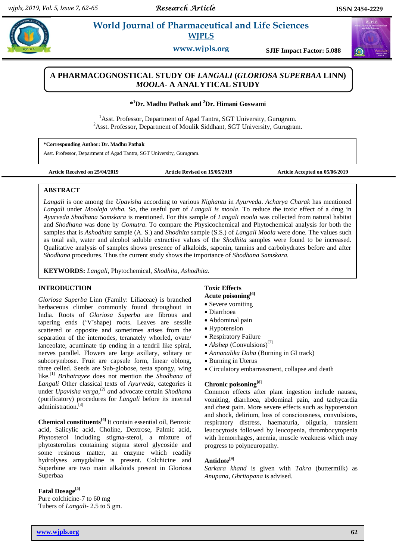# **Paramaceutical and Life Sciences WJPLS**

**www.wjpls.org SJIF Impact Factor: 5.088**

# **A PHARMACOGNOSTICAL STUDY OF** *LANGALI* **(***GLORIOSA SUPERBAA* **LINN)** *MOOLA***- A ANALYTICAL STUDY**

**\* <sup>1</sup>Dr. Madhu Pathak and <sup>2</sup>Dr. Himani Goswami**

<sup>1</sup>Asst. Professor, Department of Agad Tantra, SGT University, Gurugram.  $2A$ sst. Professor, Department of Moulik Siddhant, SGT University, Gurugram.

<sup>1</sup>Dr. Madhu Pathak **\*Corresponding Author: Dr. Madhu Pathak**

Asst. Professor, Department of Agad Tantra, SGT University, Gurugram.

**Article Received on 25/04/2019 Article Revised on 15/05/2019 Article Accepted on 05/06/2019**

#### **ABSTRACT**

*Langali* is one among the *Upavisha* according to various *Nighantu* in *Ayurveda*. *Acharya Charak* has mentioned *Langali* under *Moolaja visha.* So, the useful part of *Langali is moola*. To reduce the toxic effect of a drug in *Ayurveda Shodhana Samskara* is mentioned. For this sample of *Langali moola* was collected from natural habitat and *Shodhana* was done by *Gomutra*. To compare the Physicochemical and Phytochemical analysis for both the samples that is *Ashodhita* sample (A. S.) and *Shodhita* sample (S.S.) of *Langali Moola* were done. The values such as total ash, water and alcohol soluble extractive values of the *Shodhita* samples were found to be increased. Qualitative analysis of samples shows presence of alkaloids, saponin, tannins and carbohydrates before and after *Shodhana* procedures. Thus the current study shows the importance of *Shodhana Samskara.*

**KEYWORDS:** *Langali*, Phytochemical, *Shodhita, Ashodhita.*

#### **INTRODUCTION**

*Gloriosa Superba* Linn (Family: Liliaceae) is branched herbaceous climber commonly found throughout in India. Roots of *Gloriosa Superba* are fibrous and tapering ends ("V"shape) roots. Leaves are sessile scattered or opposite and sometimes arises from the separation of the internodes, teranately whorled, ovate/ lanceolate, acuminate tip ending in a tendril like spiral, nerves parallel. Flowers are large axillary, solitary or subcorymbose. Fruit are capsule form, linear oblong, three celled. Seeds are Sub-globose, testa spongy, wing like. [1] *Brihatrayee* does not mention the *Shodhana* of *Langali* Other classical texts of *Ayurveda*, categories it under *Upavisha varga, [2] a*nd advocate certain *Shodhana* (purificatory) procedures for *Langali* before its internal administration.<sup>[3]</sup>

**Chemical constituents[4]** It contain essential oil, Benzoic acid, Salicylic acid, Choline, Dextrose, Palmic acid, Phytosterol including stigma-sterol, a mixture of phytosterolins containing stigma sterol glycoside and some resinous matter, an enzyme which readily hydrolyses amygdaline is present. Colchicine and Superbine are two main alkaloids present in Gloriosa Superbaa

**Fatal Dosage[5]** Pure colchicine-7 to 60 mg Tubers of *Langali*- 2.5 to 5 gm.

# **Toxic Effects**

# **Acute poisoning[6]**

- Severe vomiting
- Diarrhoea
- Abdominal pain
- Hypotension
- Respiratory Failure
- *Akshep* (Convulsions)<sup>[7]</sup>
- *Annanalika Daha* (Burning in GI track)
- Burning in Uterus
- Circulatory embarrassment, collapse and death

## **Chronic poisoning[8]**

Common effects after plant ingestion include nausea, vomiting, diarrhoea, abdominal pain, and tachycardia and chest pain. More severe effects such as hypotension and shock, delirium, loss of consciousness, convulsions, respiratory distress, haematuria, oliguria, transient leucocytosis followed by leucopenia, thrombocytopenia with hemorrhages, anemia, muscle weakness which may progress to polyneuropathy.

## **Antidote[9]**

*Sarkara khand* is given with *Takra* (buttermilk) as *Anupana*, *Ghritapana* is advised.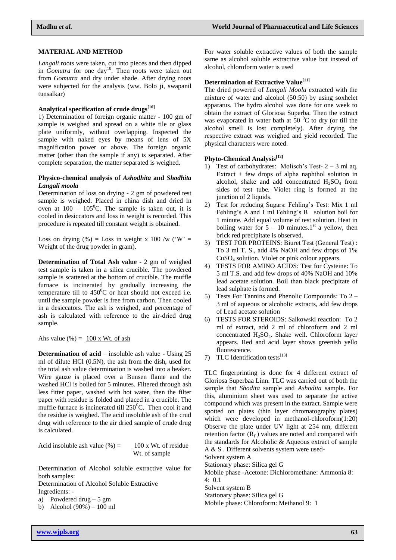#### **MATERIAL AND METHOD**

*Langali* roots were taken, cut into pieces and then dipped in *Gomutra* for one  $day^{10}$ . Then roots were taken out from *Gomutra* and dry under shade. After drying roots were subjected for the analysis (ww. Bolo ji, swapanil tunsalkar)

## **Analytical specification of crude drugs[10]**

1) Determination of foreign organic matter - 100 gm of sample is weighed and spread on a white tile or glass plate uniformly, without overlapping. Inspected the sample with naked eyes by means of lens of 5X magnification power or above. The foreign organic matter (other than the sample if any) is separated. After complete separation, the matter separated is weighed.

## **Physico-chemical analysis of** *Ashodhita* **and** *Shodhita Langali moola*

Determination of loss on drying - 2 gm of powdered test sample is weighed. Placed in china dish and dried in oven at  $100 - 105^{\circ}$ C. The sample is taken out, it is cooled in desiccators and loss in weight is recorded. This procedure is repeated till constant weight is obtained.

Loss on drying  $%$  = Loss in weight x 100 /w ('W' = Weight of the drug powder in gram).

**Determination of Total Ash value** - 2 gm of weighed test sample is taken in a silica crucible. The powdered sample is scattered at the bottom of crucible. The muffle furnace is incinerated by gradually increasing the temperature till to  $450^{\circ}$ C or heat should not exceed i.e. until the sample powder is free from carbon. Then cooled in a desiccators. The ash is weighed, and percentage of ash is calculated with reference to the air-dried drug sample.

Ahs value  $(\%) = 100 \text{ x Wt. of ash}$ 

**Determination of acid** – insoluble ash value - Using 25 ml of dilute HCl (0.5N), the ash from the dish, used for the total ash value determination is washed into a beaker. Wire gauze is placed over a Bunsen flame and the washed HCl is boiled for 5 minutes. Filtered through ash less fitter paper, washed with hot water, then the filter paper with residue is folded and placed in a crucible. The muffle furnace is incinerated till  $250^{\circ}$ C. Then cool it and the residue is weighed. The acid insoluble ash of the crud drug with reference to the air dried sample of crude drug is calculated.

Acid insoluble ash value  $(\%) = 100 \text{ x Wt.}$  of residue Wt. of sample

Determination of Alcohol soluble extractive value for both samples:

Determination of Alcohol Soluble Extractive Ingredients: -

a) Powdered drug  $-5 \text{ gm}$ 

b) Alcohol (90%) – 100 ml

For water soluble extractive values of both the sample same as alcohol soluble extractive value but instead of alcohol, chloroform water is used

## **Determination of Extractive Value[11]**

The dried powered of *Langali Moola* extracted with the mixture of water and alcohol (50:50) by using soxhelet apparatus. The hydro alcohol was done for one week to obtain the extract of Gloriosa Superba. Then the extract was evaporated in water bath at  $50<sup>0</sup>C$  to dry (or till the alcohol smell is lost completely). After drying the respective extract was weighed and yield recorded. The physical characters were noted.

## **Phyto-Chemical Analysis[12]**

- 1) Test of carbohydrates: Molisch's Test-  $2 3$  ml aq. Extract + few drops of alpha naphthol solution in alcohol, shake and add concentrated  $H_2SO_4$  from sides of test tube. Violet ring is formed at the junction of 2 liquids.
- 2) Test for reducing Sugars: Fehling"s Test: Mix 1 ml Fehling's A and 1 ml Fehling's B solution boil for 1 minute. Add equal volume of test solution. Heat in boiling water for  $5 - 10$  minutes.1<sup>st</sup> a yellow, then brick red precipitate is observed.
- 3) TEST FOR PROTEINS: Biuret Test (General Test) : To 3 ml T. S., add 4% NaOH and few drops of 1% CuSO<sup>4</sup> solution. Violet or pink colour appears.
- 4) TESTS FOR AMINO ACIDS: Test for Cysteine: To 5 ml T.S. and add few drops of 40% NaOH and 10% lead acetate solution. Boil than black precipitate of lead sulphate is formed.
- 5) Tests For Tannins and Phenolic Compounds: To 2 3 ml of aqueous or alcoholic extracts, add few drops of Lead acetate solution
- 6) TESTS FOR STEROIDS: Salkowski reaction: To 2 ml of extract, add 2 ml of chloroform and 2 ml concentrated H2SO4. Shake well. Chloroform layer appears. Red and acid layer shows greenish yello fluorescence.
- 7) TLC Identification tests<sup>[13]</sup>

TLC fingerprinting is done for 4 different extract of Gloriosa Superbaa Linn. TLC was carried out of both the sample that *Shodita* sample and *Ashodita* sample. For this, aluminium sheet was used to separate the active compound which was present in the extract. Sample were spotted on plates (thin layer chromatography plates) which were developed in methanol-chloroform $(1:20)$ Observe the plate under UV light at 254 nm, different retention factor  $(R_f)$  values are noted and compared with the standards for Alcoholic & Aqueous extract of sample A & S . Different solvents system were used-

Solvent system A

Stationary phase: Silica gel G

Mobile phase -Acetone: Dichloromethane: Ammonia 8: 4: 0.1

Solvent system B

Stationary phase: Silica gel G

Mobile phase: Chloroform: Methanol 9: 1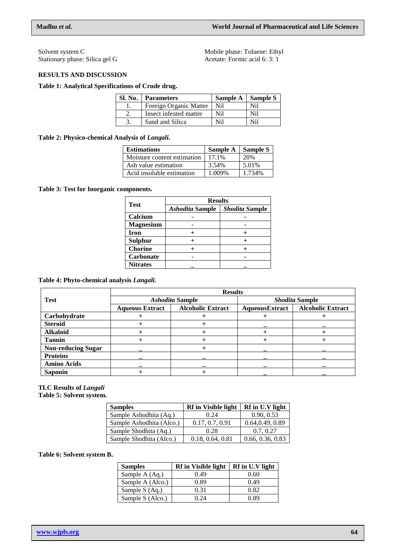Solvent system C Stationary phase: Silica gel G Mobile phase: Toluene: Ethyl Acetate: Formic acid 6: 3: 1

## **RESULTS AND DISCUSSION**

## **Table 1: Analytical Specifications of Crude drug.**

| <b>Sl. No.</b> Parameters | Sample A   Sample S |     |
|---------------------------|---------------------|-----|
| Foreign Organic Matter    | Nil                 | Nil |
| Insect infested matter    | Nil                 | Nil |
| Sand and Silica           | Nil                 | Nil |

## **Table 2: Physico-chemical Analysis of** *Langali***.**

| <b>Estimations</b>          | Sample A   Sample S |        |
|-----------------------------|---------------------|--------|
| Moisture content estimation | 17.1%               | 20%    |
| Ash value estimation        | 3.54%               | 5.01%  |
| Acid insoluble estimation   | 1.009%              | 1 734% |

# **Table 3: Test for Inorganic components.**

|                  | <b>Results</b>         |                |  |
|------------------|------------------------|----------------|--|
| <b>Test</b>      | <b>Ashodita Sample</b> | Shodita Sample |  |
| Calcium          |                        |                |  |
| <b>Magnesium</b> |                        |                |  |
| Iron             |                        |                |  |
| <b>Sulphur</b>   |                        |                |  |
| <b>Chorine</b>   |                        |                |  |
| <b>Carbonate</b> |                        |                |  |
| <b>Nitrates</b>  |                        |                |  |

# **Table 4: Phyto-chemical analysis** *Langali.*

|                           | <b>Results</b>         |                          |                       |                          |
|---------------------------|------------------------|--------------------------|-----------------------|--------------------------|
| Test                      | <b>Ashodita Sample</b> |                          | <b>Shodita Sample</b> |                          |
|                           | <b>Aqueous Extract</b> | <b>Alcoholic Extract</b> | AqueousExtract        | <b>Alcoholic Extract</b> |
| Carbohydrate              |                        |                          |                       |                          |
| <b>Steroid</b>            |                        |                          |                       |                          |
| <b>Alkaloid</b>           |                        |                          |                       |                          |
| <b>Tannin</b>             |                        |                          |                       |                          |
| <b>Non-reducing Sugar</b> |                        |                          |                       |                          |
| <b>Proteins</b>           |                        |                          |                       |                          |
| <b>Amino Acids</b>        |                        |                          |                       |                          |
| <b>Saponin</b>            |                        |                          |                       |                          |

# **TLC Results of** *Langali*

**Table 5: Solvent system.**

| <b>Samples</b>           | <b>Rf</b> in Visible light | Rf in U.V light  |
|--------------------------|----------------------------|------------------|
| Sample Ashodhita (Aq.)   | 0.24                       | 0.90, 0.53       |
| Sample Ashodhita (Alco.) | 0.17, 0.7, 0.91            | 0.64, 0.49, 0.89 |
| Sample Shodhita (Aq.)    | 0.28                       | 0.7, 0.27        |
| Sample Shodhita (Alco.)  | 0.18, 0.64, 0.81           | 0.66, 0.36, 0.83 |

## **Table 6: Solvent system B.**

| <b>Samples</b>   | <b>Rf</b> in Visible light | Rf in U.V light |
|------------------|----------------------------|-----------------|
| Sample A (Aq.)   | 0.49                       | 0.60            |
| Sample A (Alco.) | 0.89                       | 0.49            |
| Sample S (Aq.)   | 0.31                       | 0.82            |
| Sample S (Alco.) | ) 24                       | 0.89            |